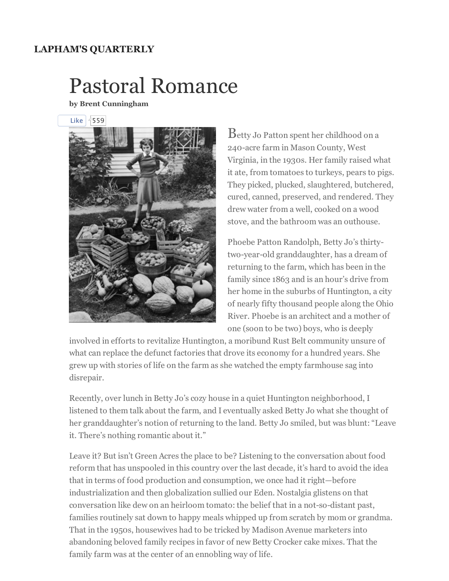## **LAPHAM'S QUARTERLY**

## Pastoral Romance

**by Brent Cunningham**

Like  $4559$ 



Betty Jo Patton spent her childhood on a 240-acre farm in Mason County, West Virginia, in the 1930s. Her family raised what it ate, from tomatoes to turkeys, pears to pigs. They picked, plucked, slaughtered, butchered, cured, canned, preserved, and rendered. They drew water from a well, cooked on a wood stove, and the bathroom was an outhouse.

Phoebe Patton Randolph, Betty Jo's thirtytwo-year-old granddaughter, has a dream of returning to the farm, which has been in the family since 1863 and is an hour's drive from her home in the suburbs of Huntington, a city of nearly fifty thousand people along the Ohio River. Phoebe is an architect and a mother of one (soon to be two) boys, who is deeply

involved in efforts to revitalize Huntington, a moribund Rust Belt community unsure of what can replace the defunct factories that drove its economy for a hundred years. She grew up with stories of life on the farm as she watched the empty farmhouse sag into disrepair.

Recently, over lunch in Betty Jo's cozy house in a quiet Huntington neighborhood, I listened to them talk about the farm, and I eventually asked Betty Jo what she thought of her granddaughter's notion of returning to the land. Betty Jo smiled, but was blunt: "Leave it. There's nothing romantic about it."

Leave it? But isn't Green Acres the place to be? Listening to the conversation about food reform that has unspooled in this country over the last decade, it's hard to avoid the idea that in terms of food production and consumption, we once had it right—before industrialization and then globalization sullied our Eden. Nostalgia glistens on that conversation like dew on an heirloom tomato: the belief that in a not-so-distant past, families routinely sat down to happy meals whipped up from scratch by mom or grandma. That in the 1950s, housewives had to be tricked by Madison Avenue marketers into abandoning beloved family recipes in favor of new Betty Crocker cake mixes. That the family farm was at the center of an ennobling way of life.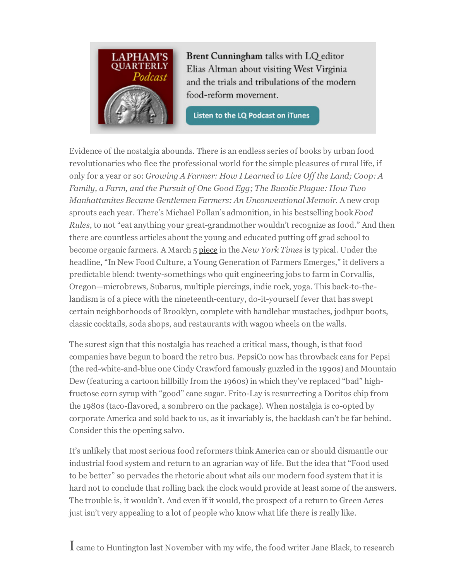

Brent Cunningham talks with LQ editor Elias Altman about visiting West Virginia and the trials and tribulations of the modern food-reform movement.

Listen to the LQ Podcast on iTunes

Evidence of the nostalgia abounds. There is an endless series of books by urban food revolutionaries who flee the professional world for the simple pleasures of rural life, if only for a year or so: *Growing A Farmer: How I Learned to Live Off the Land; Coop: A Family, a Farm, and the Pursuit of One Good Egg; The Bucolic Plague: How Two Manhattanites Became Gentlemen Farmers: An Unconventional Memoir*. A new crop sprouts each year. There's Michael Pollan's admonition, in his bestselling book *Food Rules*, to not "eat anything your great-grandmother wouldn't recognize as food." And then there are countless articles about the young and educated putting off grad school to become organic farmers. A March 5 piece in the *New York Times* is typical. Under the headline, "In New Food Culture, a Young Generation of Farmers Emerges," it delivers a predictable blend: twenty-somethings who quit engineering jobs to farm in Corvallis, Oregon—microbrews, Subarus, multiple piercings, indie rock, yoga. This back-to-thelandism is of a piece with the nineteenth-century, do-it-yourself fever that has swept certain neighborhoods of Brooklyn, complete with handlebar mustaches, jodhpur boots, classic cocktails, soda shops, and restaurants with wagon wheels on the walls.

The surest sign that this nostalgia has reached a critical mass, though, is that food companies have begun to board the retro bus. PepsiCo now has throwback cans for Pepsi (the red-white-and-blue one Cindy Crawford famously guzzled in the 1990s) and Mountain Dew (featuring a cartoon hillbilly from the 1960s) in which they've replaced "bad" highfructose corn syrup with "good" cane sugar. Frito-Lay is resurrecting a Doritos chip from the 1980s (taco-flavored, a sombrero on the package). When nostalgia is co-opted by corporate America and sold back to us, as it invariably is, the backlash can't be far behind. Consider this the opening salvo.

It's unlikely that most serious food reformers think America can or should dismantle our industrial food system and return to an agrarian way of life. But the idea that "Food used to be better" so pervades the rhetoric about what ails our modern food system that it is hard not to conclude that rolling back the clock would provide at least some of the answers. The trouble is, it wouldn't. And even if it would, the prospect of a return to Green Acres just isn't very appealing to a lot of people who know what life there is really like.

I came to Huntington last November with my wife, the food writer Jane Black, to research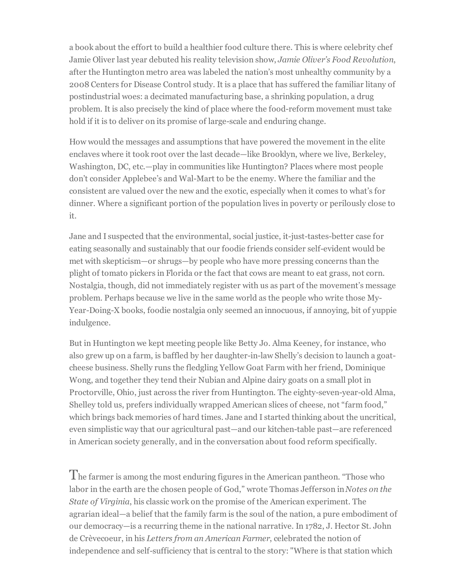a book about the effort to build a healthier food culture there. This is where celebrity chef Jamie Oliver last year debuted his reality television show, *Jamie Oliver's Food Revolution*, after the Huntington metro area was labeled the nation's most unhealthy community by a 2008 Centers for Disease Control study. It is a place that has suffered the familiar litany of postindustrial woes: a decimated manufacturing base, a shrinking population, a drug problem. It is also precisely the kind of place where the food-reform movement must take hold if it is to deliver on its promise of large-scale and enduring change.

How would the messages and assumptions that have powered the movement in the elite enclaves where it took root over the last decade—like Brooklyn, where we live, Berkeley, Washington, DC, etc.—play in communities like Huntington? Places where most people don't consider Applebee's and Wal-Mart to be the enemy. Where the familiar and the consistent are valued over the new and the exotic, especially when it comes to what's for dinner. Where a significant portion of the population lives in poverty or perilously close to it.

Jane and I suspected that the environmental, social justice, it-just-tastes-better case for eating seasonally and sustainably that our foodie friends consider self-evident would be met with skepticism—or shrugs—by people who have more pressing concerns than the plight of tomato pickers in Florida or the fact that cows are meant to eat grass, not corn. Nostalgia, though, did not immediately register with us as part of the movement's message problem. Perhaps because we live in the same world as the people who write those My-Year-Doing-X books, foodie nostalgia only seemed an innocuous, if annoying, bit of yuppie indulgence.

But in Huntington we kept meeting people like Betty Jo. Alma Keeney, for instance, who also grew up on a farm, is baffled by her daughter-in-law Shelly's decision to launch a goatcheese business. Shelly runs the fledgling Yellow Goat Farm with her friend, Dominique Wong, and together they tend their Nubian and Alpine dairy goats on a small plot in Proctorville, Ohio, just across the river from Huntington. The eighty-seven-year-old Alma, Shelley told us, prefers individually wrapped American slices of cheese, not "farm food," which brings back memories of hard times. Jane and I started thinking about the uncritical, even simplistic way that our agricultural past—and our kitchen-table past—are referenced in American society generally, and in the conversation about food reform specifically.

The farmer is among the most enduring figures in the American pantheon. "Those who labor in the earth are the chosen people of God," wrote Thomas Jefferson in *Notes on the State of Virginia*, his classic work on the promise of the American experiment. The agrarian ideal—a belief that the family farm is the soul of the nation, a pure embodiment of our democracy—is a recurring theme in the national narrative. In 1782, J. Hector St. John de Crèvecoeur, in his *Letters from an American Farmer*, celebrated the notion of independence and self-sufficiency that is central to the story: "Where is that station which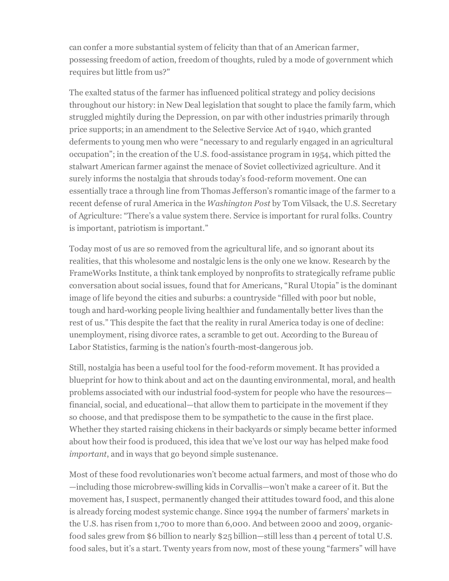can confer a more substantial system of felicity than that of an American farmer, possessing freedom of action, freedom of thoughts, ruled by a mode of government which requires but little from us?"

The exalted status of the farmer has influenced political strategy and policy decisions throughout our history: in New Deal legislation that sought to place the family farm, which struggled mightily during the Depression, on par with other industries primarily through price supports; in an amendment to the Selective Service Act of 1940, which granted deferments to young men who were "necessary to and regularly engaged in an agricultural occupation"; in the creation of the U.S. food-assistance program in 1954, which pitted the stalwart American farmer against the menace of Soviet collectivized agriculture. And it surely informs the nostalgia that shrouds today's food-reform movement. One can essentially trace a through line from Thomas Jefferson's romantic image of the farmer to a recent defense of rural America in the *Washington Post* by Tom Vilsack, the U.S. Secretary of Agriculture: "There's a value system there. Service is important for rural folks. Country is important, patriotism is important."

Today most of us are so removed from the agricultural life, and so ignorant about its realities, that this wholesome and nostalgic lens is the only one we know. Research by the FrameWorks Institute, a think tank employed by nonprofits to strategically reframe public conversation about social issues, found that for Americans, "Rural Utopia" is the dominant image of life beyond the cities and suburbs: a countryside "filled with poor but noble, tough and hard-working people living healthier and fundamentally better lives than the rest of us." This despite the fact that the reality in rural America today is one of decline: unemployment, rising divorce rates, a scramble to get out. According to the Bureau of Labor Statistics, farming is the nation's fourth-most-dangerous job.

Still, nostalgia has been a useful tool for the food-reform movement. It has provided a blueprint for how to think about and act on the daunting environmental, moral, and health problems associated with our industrial food-system for people who have the resources financial, social, and educational—that allow them to participate in the movement if they so choose, and that predispose them to be sympathetic to the cause in the first place. Whether they started raising chickens in their backyards or simply became better informed about how their food is produced, this idea that we've lost our way has helped make food *important*, and in ways that go beyond simple sustenance.

Most of these food revolutionaries won't become actual farmers, and most of those who do —including those microbrew-swilling kids in Corvallis—won't make a career of it. But the movement has, I suspect, permanently changed their attitudes toward food, and this alone is already forcing modest systemic change. Since 1994 the number of farmers' markets in the U.S. has risen from 1,700 to more than 6,000. And between 2000 and 2009, organicfood sales grew from \$6 billion to nearly \$25 billion—still less than 4 percent of total U.S. food sales, but it's a start. Twenty years from now, most of these young "farmers" will have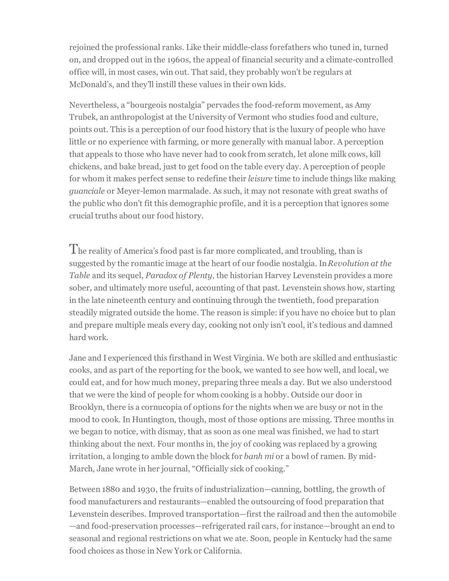rejoined the professional ranks. Like their middle-class forefathers who tuned in, turned on, and dropped out in the 1960s, the appeal of financial security and a climate-controlled office will, in most cases, win out. That said, they probably won't be regulars at McDonald's, and they'll instill these values in their own kids.

Nevertheless, a "bourgeois nostalgia" pervades the food-reform movement, as Amy Trubek, an anthropologist at the University of Vermont who studies food and culture, points out. This is a perception of our food history that is the luxury of people who have little or no experience with farming, or more generally with manual labor. A perception that appeals to those who have never had to cook from scratch, let alone milk cows, kill chickens, and bake bread, just to get food on the table every day. A perception of people for whom it makes perfect sense to redefine their *leisure* time to include things like making *guanciale* or Meyer-lemon marmalade. As such, it may not resonate with great swaths of the public who don't fit this demographic profile, and it is a perception that ignores some crucial truths about our food history.

The reality of America's food past is far more complicated, and troubling, than is suggested by the romantic image at the heart of our foodie nostalgia. In *Revolution at the Table* and its sequel, *Paradox of Plenty*, the historian Harvey Levenstein provides a more sober, and ultimately more useful, accounting of that past. Levenstein shows how, starting in the late nineteenth century and continuing through the twentieth, food preparation steadily migrated outside the home. The reason is simple: if you have no choice but to plan and prepare multiple meals every day, cooking not only isn't cool, it's tedious and damned hard work.

Jane and I experienced this firsthand in West Virginia. We both are skilled and enthusiastic cooks, and as part of the reporting for the book, we wanted to see how well, and local, we could eat, and for how much money, preparing three meals a day. But we also understood that we were the kind of people for whom cooking is a hobby. Outside our door in Brooklyn, there is a cornucopia of options for the nights when we are busy or not in the mood to cook. In Huntington, though, most of those options are missing. Three months in we began to notice, with dismay, that as soon as one meal was finished, we had to start thinking about the next. Four months in, the joy of cooking was replaced by a growing irritation, a longing to amble down the block for *banh mi* or a bowl of ramen. By mid-March, Jane wrote in her journal, "Officially sick of cooking."

Between 1880 and 1930, the fruits of industrialization—canning, bottling, the growth of food manufacturers and restaurants—enabled the outsourcing of food preparation that Levenstein describes. Improved transportation—first the railroad and then the automobile —and food-preservation processes—refrigerated rail cars, for instance—brought an end to seasonal and regional restrictions on what we ate. Soon, people in Kentucky had the same food choices as those in New York or California.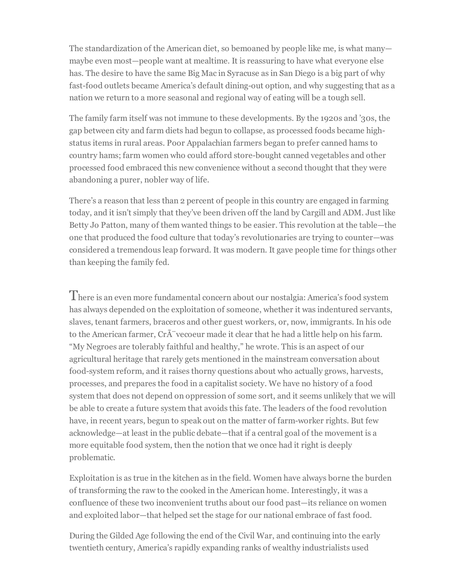The standardization of the American diet, so bemoaned by people like me, is what many maybe even most—people want at mealtime. It is reassuring to have what everyone else has. The desire to have the same Big Mac in Syracuse as in San Diego is a big part of why fast-food outlets became America's default dining-out option, and why suggesting that as a nation we return to a more seasonal and regional way of eating will be a tough sell.

The family farm itself was not immune to these developments. By the 1920s and '30s, the gap between city and farm diets had begun to collapse, as processed foods became highstatus items in rural areas. Poor Appalachian farmers began to prefer canned hams to country hams; farm women who could afford store-bought canned vegetables and other processed food embraced this new convenience without a second thought that they were abandoning a purer, nobler way of life.

There's a reason that less than 2 percent of people in this country are engaged in farming today, and it isn't simply that they've been driven off the land by Cargill and ADM. Just like Betty Jo Patton, many of them wanted things to be easier. This revolution at the table—the one that produced the food culture that today's revolutionaries are trying to counter—was considered a tremendous leap forward. It was modern. It gave people time for things other than keeping the family fed.

There is an even more fundamental concern about our nostalgia: America's food system has always depended on the exploitation of someone, whether it was indentured servants, slaves, tenant farmers, braceros and other guest workers, or, now, immigrants. In his ode to the American farmer, Cr $\tilde{A}$ "vecoeur made it clear that he had a little help on his farm. "My Negroes are tolerably faithful and healthy," he wrote. This is an aspect of our agricultural heritage that rarely gets mentioned in the mainstream conversation about food-system reform, and it raises thorny questions about who actually grows, harvests, processes, and prepares the food in a capitalist society. We have no history of a food system that does not depend on oppression of some sort, and it seems unlikely that we will be able to create a future system that avoids this fate. The leaders of the food revolution have, in recent years, begun to speak out on the matter of farm-worker rights. But few acknowledge—at least in the public debate—that if a central goal of the movement is a more equitable food system, then the notion that we once had it right is deeply problematic.

Exploitation is as true in the kitchen as in the field. Women have always borne the burden of transforming the raw to the cooked in the American home. Interestingly, it was a confluence of these two inconvenient truths about our food past—its reliance on women and exploited labor—that helped set the stage for our national embrace of fast food.

During the Gilded Age following the end of the Civil War, and continuing into the early twentieth century, America's rapidly expanding ranks of wealthy industrialists used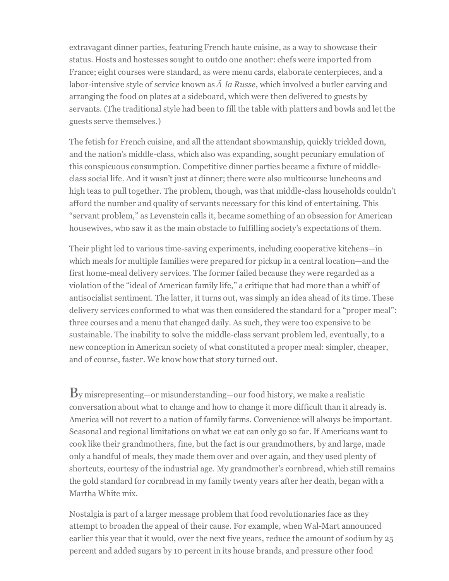extravagant dinner parties, featuring French haute cuisine, as a way to showcase their status. Hosts and hostesses sought to outdo one another: chefs were imported from France; eight courses were standard, as were menu cards, elaborate centerpieces, and a labor-intensive style of service known as *à la Russe*, which involved a butler carving and arranging the food on plates at a sideboard, which were then delivered to guests by servants. (The traditional style had been to fill the table with platters and bowls and let the guests serve themselves.)

The fetish for French cuisine, and all the attendant showmanship, quickly trickled down, and the nation's middle-class, which also was expanding, sought pecuniary emulation of this conspicuous consumption. Competitive dinner parties became a fixture of middleclass social life. And it wasn't just at dinner; there were also multicourse luncheons and high teas to pull together. The problem, though, was that middle-class households couldn't afford the number and quality of servants necessary for this kind of entertaining. This "servant problem," as Levenstein calls it, became something of an obsession for American housewives, who saw it as the main obstacle to fulfilling society's expectations of them.

Their plight led to various time-saving experiments, including cooperative kitchens—in which meals for multiple families were prepared for pickup in a central location—and the first home-meal delivery services. The former failed because they were regarded as a violation of the "ideal of American family life," a critique that had more than a whiff of antisocialist sentiment. The latter, it turns out, was simply an idea ahead of its time. These delivery services conformed to what was then considered the standard for a "proper meal": three courses and a menu that changed daily. As such, they were too expensive to be sustainable. The inability to solve the middle-class servant problem led, eventually, to a new conception in American society of what constituted a proper meal: simpler, cheaper, and of course, faster. We know how that story turned out.

By misrepresenting—or misunderstanding—our food history, we make a realistic conversation about what to change and how to change it more difficult than it already is. America will not revert to a nation of family farms. Convenience will always be important. Seasonal and regional limitations on what we eat can only go so far. If Americans want to cook like their grandmothers, fine, but the fact is our grandmothers, by and large, made only a handful of meals, they made them over and over again, and they used plenty of shortcuts, courtesy of the industrial age. My grandmother's cornbread, which still remains the gold standard for cornbread in my family twenty years after her death, began with a Martha White mix.

Nostalgia is part of a larger message problem that food revolutionaries face as they attempt to broaden the appeal of their cause. For example, when Wal-Mart announced earlier this year that it would, over the next five years, reduce the amount of sodium by 25 percent and added sugars by 10 percent in its house brands, and pressure other food